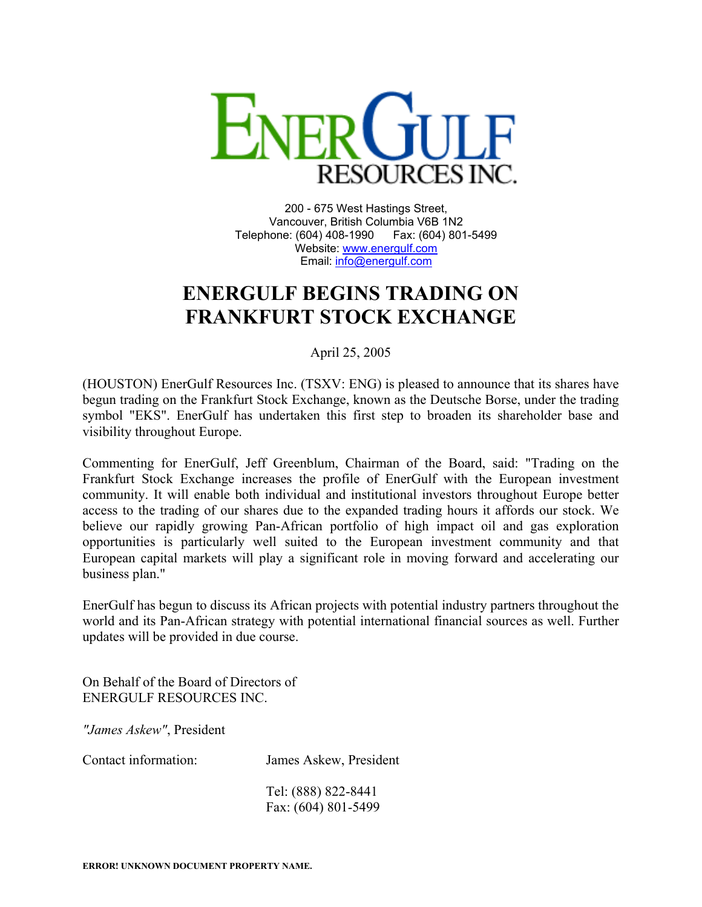

200 - 675 West Hastings Street, Vancouver, British Columbia V6B 1N2 Telephone: (604) 408-1990 Fax: (604) 801-5499 Website: [www.energulf.com](http://www.energulf.com/) Email: [info@energulf.com](mailto:info@energulf.com)

## **ENERGULF BEGINS TRADING ON FRANKFURT STOCK EXCHANGE**

April 25, 2005

(HOUSTON) EnerGulf Resources Inc. (TSXV: ENG) is pleased to announce that its shares have begun trading on the Frankfurt Stock Exchange, known as the Deutsche Borse, under the trading symbol "EKS". EnerGulf has undertaken this first step to broaden its shareholder base and visibility throughout Europe.

Commenting for EnerGulf, Jeff Greenblum, Chairman of the Board, said: "Trading on the Frankfurt Stock Exchange increases the profile of EnerGulf with the European investment community. It will enable both individual and institutional investors throughout Europe better access to the trading of our shares due to the expanded trading hours it affords our stock. We believe our rapidly growing Pan-African portfolio of high impact oil and gas exploration opportunities is particularly well suited to the European investment community and that European capital markets will play a significant role in moving forward and accelerating our business plan."

EnerGulf has begun to discuss its African projects with potential industry partners throughout the world and its Pan-African strategy with potential international financial sources as well. Further updates will be provided in due course.

On Behalf of the Board of Directors of ENERGULF RESOURCES INC.

*"James Askew"*, President

Contact information: James Askew, President

Tel: (888) 822-8441 Fax: (604) 801-5499